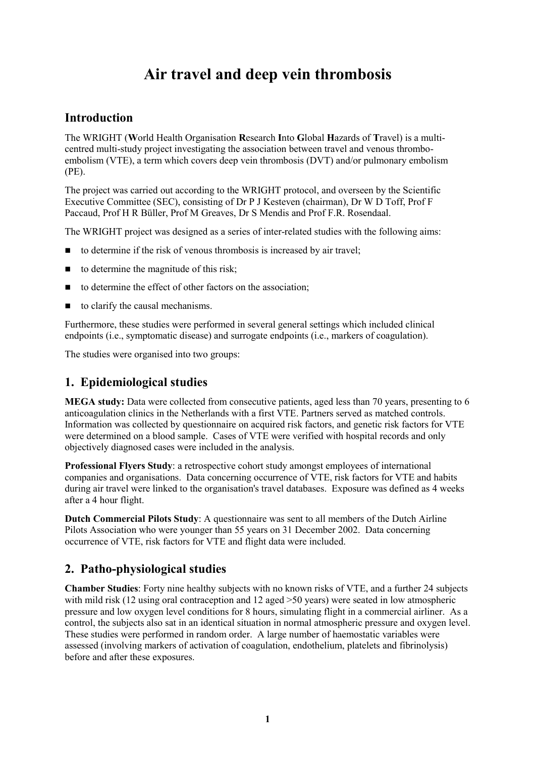# **Air travel and deep vein thrombosis**

# **Introduction**

The WRIGHT (**W**orld Health Organisation **R**esearch **I**nto **G**lobal **H**azards of **T**ravel) is a multicentred multi-study project investigating the association between travel and venous thromboembolism (VTE), a term which covers deep vein thrombosis (DVT) and/or pulmonary embolism (PE).

The project was carried out according to the WRIGHT protocol, and overseen by the Scientific Executive Committee (SEC), consisting of Dr P J Kesteven (chairman), Dr W D Toff, Prof F Paccaud, Prof H R Büller, Prof M Greaves, Dr S Mendis and Prof F.R. Rosendaal.

The WRIGHT project was designed as a series of inter-related studies with the following aims:

- $\Box$  to determine if the risk of venous thrombosis is increased by air travel;
- $\Box$  to determine the magnitude of this risk;
- $\blacksquare$  to determine the effect of other factors on the association;
- $\Box$  to clarify the causal mechanisms.

Furthermore, these studies were performed in several general settings which included clinical endpoints (i.e., symptomatic disease) and surrogate endpoints (i.e., markers of coagulation).

The studies were organised into two groups:

# **1. Epidemiological studies**

**MEGA study:** Data were collected from consecutive patients, aged less than 70 years, presenting to 6 anticoagulation clinics in the Netherlands with a first VTE. Partners served as matched controls. Information was collected by questionnaire on acquired risk factors, and genetic risk factors for VTE were determined on a blood sample. Cases of VTE were verified with hospital records and only objectively diagnosed cases were included in the analysis.

**Professional Flyers Study**: a retrospective cohort study amongst employees of international companies and organisations. Data concerning occurrence of VTE, risk factors for VTE and habits during air travel were linked to the organisation's travel databases. Exposure was defined as 4 weeks after a 4 hour flight.

**Dutch Commercial Pilots Study**: A questionnaire was sent to all members of the Dutch Airline Pilots Association who were younger than 55 years on 31 December 2002. Data concerning occurrence of VTE, risk factors for VTE and flight data were included.

#### **2. Patho-physiological studies**

**Chamber Studies**: Forty nine healthy subjects with no known risks of VTE, and a further 24 subjects with mild risk (12 using oral contraception and 12 aged  $>50$  years) were seated in low atmospheric pressure and low oxygen level conditions for 8 hours, simulating flight in a commercial airliner. As a control, the subjects also sat in an identical situation in normal atmospheric pressure and oxygen level. These studies were performed in random order. A large number of haemostatic variables were assessed (involving markers of activation of coagulation, endothelium, platelets and fibrinolysis) before and after these exposures.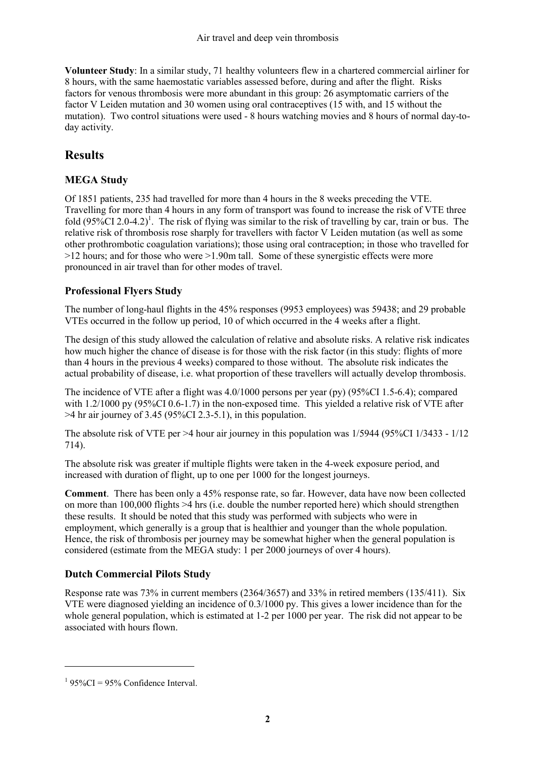**Volunteer Study**: In a similar study, 71 healthy volunteers flew in a chartered commercial airliner for 8 hours, with the same haemostatic variables assessed before, during and after the flight. Risks factors for venous thrombosis were more abundant in this group: 26 asymptomatic carriers of the factor V Leiden mutation and 30 women using oral contraceptives (15 with, and 15 without the mutation). Two control situations were used - 8 hours watching movies and 8 hours of normal day-today activity.

# **Results**

#### **MEGA Study**

Of 1851 patients, 235 had travelled for more than 4 hours in the 8 weeks preceding the VTE. Travelling for more than 4 hours in any form of transport was found to increase the risk of VTE three fold  $(95\%CI\ 2.0-4.2)^1$ . The risk of flying was similar to the risk of travelling by car, train or bus. The relative risk of thrombosis rose sharply for travellers with factor V Leiden mutation (as well as some other prothrombotic coagulation variations); those using oral contraception; in those who travelled for >12 hours; and for those who were >1.90m tall. Some of these synergistic effects were more pronounced in air travel than for other modes of travel.

### **Professional Flyers Study**

The number of long-haul flights in the 45% responses (9953 employees) was 59438; and 29 probable VTEs occurred in the follow up period, 10 of which occurred in the 4 weeks after a flight.

The design of this study allowed the calculation of relative and absolute risks. A relative risk indicates how much higher the chance of disease is for those with the risk factor (in this study: flights of more than 4 hours in the previous 4 weeks) compared to those without. The absolute risk indicates the actual probability of disease, i.e. what proportion of these travellers will actually develop thrombosis.

The incidence of VTE after a flight was 4.0/1000 persons per year (py) (95%CI 1.5-6.4); compared with 1.2/1000 py (95%CI 0.6-1.7) in the non-exposed time. This yielded a relative risk of VTE after  $>4$  hr air journey of 3.45 (95%CI 2.3-5.1), in this population.

The absolute risk of VTE per >4 hour air journey in this population was 1/5944 (95%CI 1/3433 - 1/12 714).

The absolute risk was greater if multiple flights were taken in the 4-week exposure period, and increased with duration of flight, up to one per 1000 for the longest journeys.

**Comment**. There has been only a 45% response rate, so far. However, data have now been collected on more than 100,000 flights >4 hrs (i.e. double the number reported here) which should strengthen these results. It should be noted that this study was performed with subjects who were in employment, which generally is a group that is healthier and younger than the whole population. Hence, the risk of thrombosis per journey may be somewhat higher when the general population is considered (estimate from the MEGA study: 1 per 2000 journeys of over 4 hours).

#### **Dutch Commercial Pilots Study**

Response rate was 73% in current members (2364/3657) and 33% in retired members (135/411). Six VTE were diagnosed yielding an incidence of 0.3/1000 py. This gives a lower incidence than for the whole general population, which is estimated at 1-2 per 1000 per year. The risk did not appear to be associated with hours flown.

 $\overline{a}$ 

 $1\,95\%$ CI = 95% Confidence Interval.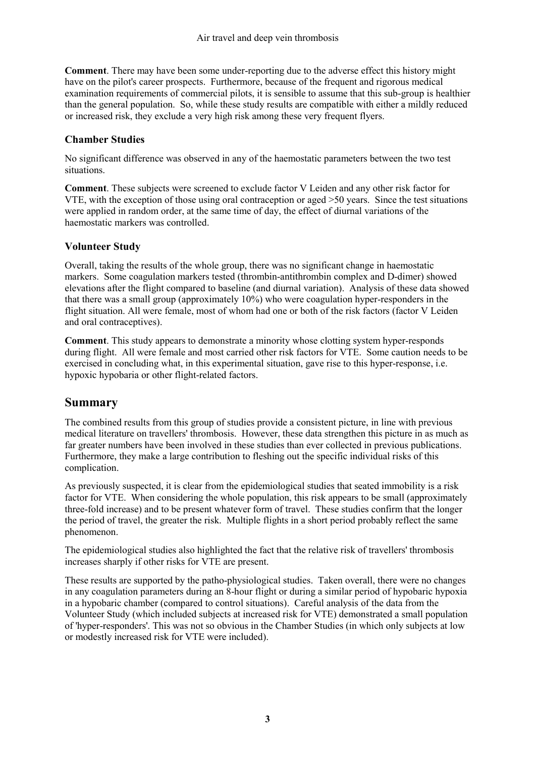**Comment**. There may have been some under-reporting due to the adverse effect this history might have on the pilot's career prospects. Furthermore, because of the frequent and rigorous medical examination requirements of commercial pilots, it is sensible to assume that this sub-group is healthier than the general population. So, while these study results are compatible with either a mildly reduced or increased risk, they exclude a very high risk among these very frequent flyers.

#### **Chamber Studies**

No significant difference was observed in any of the haemostatic parameters between the two test situations.

**Comment**. These subjects were screened to exclude factor V Leiden and any other risk factor for VTE, with the exception of those using oral contraception or aged >50 years. Since the test situations were applied in random order, at the same time of day, the effect of diurnal variations of the haemostatic markers was controlled.

#### **Volunteer Study**

Overall, taking the results of the whole group, there was no significant change in haemostatic markers. Some coagulation markers tested (thrombin-antithrombin complex and D-dimer) showed elevations after the flight compared to baseline (and diurnal variation). Analysis of these data showed that there was a small group (approximately 10%) who were coagulation hyper-responders in the flight situation. All were female, most of whom had one or both of the risk factors (factor V Leiden and oral contraceptives).

**Comment**. This study appears to demonstrate a minority whose clotting system hyper-responds during flight. All were female and most carried other risk factors for VTE. Some caution needs to be exercised in concluding what, in this experimental situation, gave rise to this hyper-response, i.e. hypoxic hypobaria or other flight-related factors.

# **Summary**

The combined results from this group of studies provide a consistent picture, in line with previous medical literature on travellers' thrombosis. However, these data strengthen this picture in as much as far greater numbers have been involved in these studies than ever collected in previous publications. Furthermore, they make a large contribution to fleshing out the specific individual risks of this complication.

As previously suspected, it is clear from the epidemiological studies that seated immobility is a risk factor for VTE. When considering the whole population, this risk appears to be small (approximately three-fold increase) and to be present whatever form of travel. These studies confirm that the longer the period of travel, the greater the risk. Multiple flights in a short period probably reflect the same phenomenon.

The epidemiological studies also highlighted the fact that the relative risk of travellers' thrombosis increases sharply if other risks for VTE are present.

These results are supported by the patho-physiological studies. Taken overall, there were no changes in any coagulation parameters during an 8-hour flight or during a similar period of hypobaric hypoxia in a hypobaric chamber (compared to control situations). Careful analysis of the data from the Volunteer Study (which included subjects at increased risk for VTE) demonstrated a small population of 'hyper-responders'. This was not so obvious in the Chamber Studies (in which only subjects at low or modestly increased risk for VTE were included).